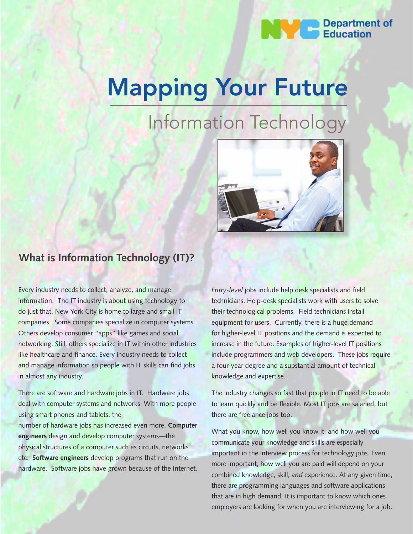

# Mapping Your Future

## Information Technology



## **What is Information Technology (IT)?**

Every industry needs to collect, analyze, and manage information. The IT industry is about using technology to do just that. New York City is home to large and small IT companies. Some companies specialize in computer systems. Others develop consumer "apps" like games and social networking. Still, others specialize in IT within other industries like healthcare and finance. Every industry needs to collect and manage information so people with IT skills can find jobs in almost any industry.

There are software and hardware jobs in IT. Hardware jobs deal with computer systems and networks. With more people using smart phones and tablets, the

number of hardware jobs has increased even more. **Computer engineers** design and develop computer systems—the physical structures of a computer such as circuits, networks etc. **Software engineers** develop programs that run on the hardware. Software jobs have grown because of the Internet.

*Entry-level* jobs include help desk specialists and field technicians. Help-desk specialists work with users to solve their technological problems. Field technicians install equipment for users. Currently, there is a huge demand for higher-level IT positions and the demand is expected to increase in the future. Examples of higher-level IT positions include programmers and web developers. These jobs require a four-year degree and a substantial amount of technical knowledge and expertise.

The industry changes so fast that people in IT need to be able to learn quickly and be flexible. Most IT jobs are salaried, but there are freelance jobs too.

What you know, how well you know it, and how well you communicate your knowledge and skills are especially important in the interview process for technology jobs. Even more important, how well you are paid will depend on your combined knowledge, skill, *and* experience. At any given time, there are programming languages and software applications that are in high demand. It is important to know which ones employers are looking for when you are interviewing for a job.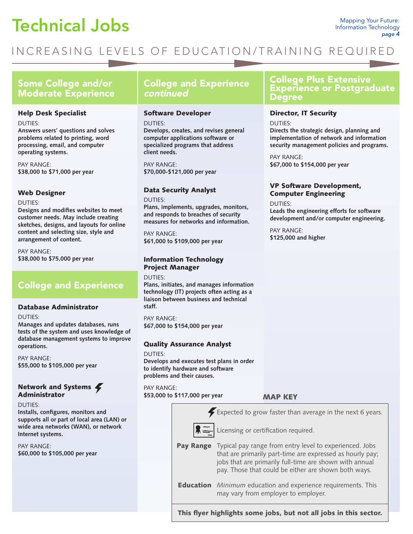## **Technical Jobs** Mapping Your Future:

## INCREASING LEVELS OF EDUCATION/TRAINING REQUIRED

### Some College and/or Moderate Experience

#### Help Desk Specialist

DUTIES:

**Answers users' questions and solves problems related to printing, word processing, email, and computer operating systems.**

PAY RANGE: **\$38,000 to \$71,000 per year**

#### Web Designer

DUTIES:

**Designs and modifies websites to meet customer needs. May include creating sketches, designs, and layouts for online content and selecting size, style and arrangement of content.** 

PAY RANGE: **\$38,000 to \$75,000 per year** 

## College and Experience

#### Database Administrator

DUTIES:

**Manages and updates databases, runs tests of the system and uses knowledge of database management systems to improve operations.**

PAY RANGE: **\$55,000 to \$105,000 per year**

#### Network and Systems Administrator

#### DUTIES:

**Installs, configures, monitors and supports all or part of local area (LAN) or wide area networks (WAN), or network Internet systems.** 

PAY RANGE: **\$60,000 to \$105,000 per year**

## College and Experience continued

#### Software Developer

DUTIES:

**Develops, creates, and revises general computer applications software or specialized programs that address client needs.**

PAY RANGE: **\$70,000-\$121,000 per year** 

#### Data Security Analyst

DUTIES:

**Plans, implements, upgrades, monitors, and responds to breaches of security measures for networks and information.**

PAY RANGE: **\$61,000 to \$109,000 per year** 

#### Information Technology Project Manager

DUTIES:

**Plans, initiates, and manages information technology (IT) projects often acting as a liaison between business and technical staff.**

PAY RANGE: **\$67,000 to \$154,000 per year** 

#### Quality Assurance Analyst

#### DUTIES:

**Develops and executes test plans in order to identify hardware and software problems and their causes.**

PAY RANGE: **\$53,000 to \$117,000 per year** 

MAP KEY



This flyer highlights some jobs, but not all jobs in this sector.

### College Plus Extensive Experience or Postgraduate Degree

#### Director, IT Security

DUTIES:

**Directs the strategic design, planning and implementation of network and information security management policies and programs.**

PAY RANGE: **\$67,000 to \$154,000 per year**

#### VP Software Development, Computer Engineering

DUTIES: **Leads the engineering efforts for software development and/or computer engineering.** 

PAY RANGE: **\$125,000 and higher**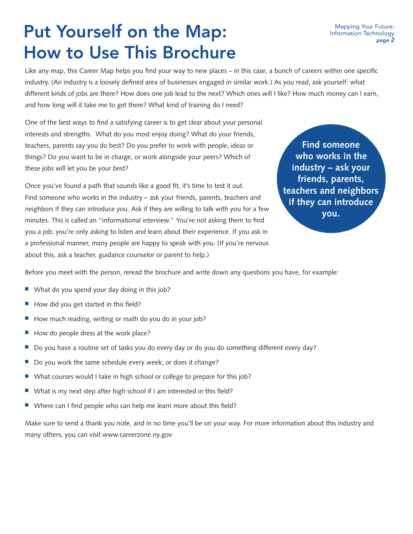## Put Yourself on the Map: How to Use This Brochure

Like any map, this Career Map helps you find your way to new places – in this case, a bunch of careers within one specific industry. (An industry is a loosely defined area of businesses engaged in similar work.) As you read, ask yourself: what different kinds of jobs are there? How does one job lead to the next? Which ones will I like? How much money can I earn, and how long will it take me to get there? What kind of training do I need?

One of the best ways to find a satisfying career is to get clear about your personal interests and strengths. What do you most enjoy doing? What do your friends, teachers, parents say you do best? Do you prefer to work with people, ideas or things? Do you want to be in charge, or work alongside your peers? Which of these jobs will let you be your best?

Once you've found a path that sounds like a good fit, it's time to test it out. Find someone who works in the industry – ask your friends, parents, teachers and neighbors if they can introduce you. Ask if they are willing to talk with you for a few minutes. This is called an "informational interview." You're not asking them to find you a job; you're only asking to listen and learn about their experience. If you ask in a professional manner, many people are happy to speak with you. (If you're nervous about this, ask a teacher, guidance counselor or parent to help.)

**Find someone who works in the industry – ask your friends, parents, teachers and neighbors if they can introduce you.**

Before you meet with the person, reread the brochure and write down any questions you have, for example:

- $\blacksquare$  What do you spend your day doing in this job?
- How did you get started in this field?
- How much reading, writing or math do you do in your job?
- $\blacksquare$  How do people dress at the work place?
- Do you have a routine set of tasks you do every day or do you do something different every day?
- Do you work the same schedule every week, or does it change?
- What courses would I take in high school or college to prepare for this job?
- $\blacksquare$  What is my next step after high school if I am interested in this field?
- $\blacksquare$  Where can I find people who can help me learn more about this field?

Make sure to send a thank you note, and in no time you'll be on your way. For more information about this industry and many others, you can visit www.careerzone.ny.gov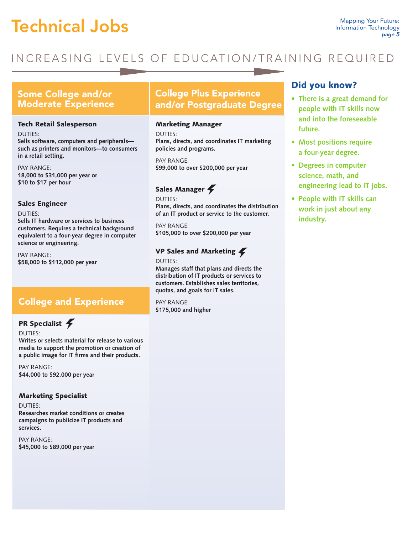## Technical Jobs

## INCREASING LEVELS OF EDUCATION/TRAINING REQUIRED

### Some College and/or Moderate Experience

#### Tech Retail Salesperson

DUTIES: **Sells software, computers and peripherals such as printers and monitors—to consumers in a retail setting.** 

PAY RANGE: **18,000 to \$31,000 per year or \$10 to \$17 per hour**

#### Sales Engineer

DUTIES:

**Sells IT hardware or services to business customers. Requires a technical background equivalent to a four-year degree in computer science or engineering.** 

PAY RANGE: **\$58,000 to \$112,000 per year**

## College and Experience

#### PR Specialist 4

DUTIES:

**Writes or selects material for release to various media to support the promotion or creation of a public image for IT firms and their products.**

PAY RANGE: **\$44,000 to \$92,000 per year**

#### Marketing Specialist

DUTIES: **Researches market conditions or creates campaigns to publicize IT products and services.** 

PAY RANGE: **\$45,000 to \$89,000 per year**

## College Plus Experience and/or Postgraduate Degree

#### Marketing Manager

DUTIES: **Plans, directs, and coordinates IT marketing policies and programs.**

PAY RANGE: **\$99,000 to over \$200,000 per year**

## Sales Manager

DUTIES: **Plans, directs, and coordinates the distribution of an IT product or service to the customer.** 

PAY RANGE: **\$105,000 to over \$200,000 per year**

#### VP Sales and Marketing

DUTIES: **Manages staff that plans and directs the distribution of IT products or services to customers. Establishes sales territories, quotas, and goals for IT sales.** 

PAY RANGE: **\$175,000 and higher**

### Did you know?

- **• There is a great demand for people with IT skills now and into the foreseeable future.**
- **• Most positions require a four-year degree.**
- **• Degrees in computer science, math, and engineering lead to IT jobs.**
- **• People with IT skills can work in just about any industry.**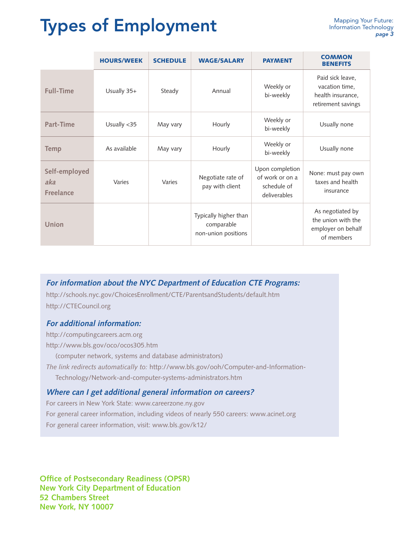## Types of Employment

|                                          | <b>HOURS/WEEK</b> | <b>SCHEDULE</b> | <b>WAGE/SALARY</b>                                         | <b>PAYMENT</b>                                                    | <b>COMMON</b><br><b>BENEFITS</b>                                              |
|------------------------------------------|-------------------|-----------------|------------------------------------------------------------|-------------------------------------------------------------------|-------------------------------------------------------------------------------|
| <b>Full-Time</b>                         | Usually 35+       | Steady          | Annual                                                     | Weekly or<br>bi-weekly                                            | Paid sick leave,<br>vacation time,<br>health insurance,<br>retirement savings |
| Part-Time                                | Usually <35       | May vary        | Hourly                                                     | Weekly or<br>bi-weekly                                            | Usually none                                                                  |
| <b>Temp</b>                              | As available      | May vary        | Hourly                                                     | Weekly or<br>bi-weekly                                            | Usually none                                                                  |
| Self-employed<br>aka<br><b>Freelance</b> | Varies            | Varies          | Negotiate rate of<br>pay with client                       | Upon completion<br>of work or on a<br>schedule of<br>deliverables | None: must pay own<br>taxes and health<br>insurance                           |
| Union                                    |                   |                 | Typically higher than<br>comparable<br>non-union positions |                                                                   | As negotiated by<br>the union with the<br>employer on behalf<br>of members    |

**For information about the NYC Department of Education CTE Programs:** 

http://schools.nyc.gov/ChoicesEnrollment/CTE/ParentsandStudents/default.htm http://CTECouncil.org

#### **For additional information:**

http://computingcareers.acm.org

http://www.bls.gov/oco/ocos305.htm

(computer network, systems and database administrators)

*The link redirects automatically to:* http://www.bls.gov/ooh/Computer-and-Information-

Technology/Network-and-computer-systems-administrators.htm

#### **Where can I get additional general information on careers?**

For careers in New York State: www.careerzone.ny.gov For general career information, including videos of nearly 550 careers: www.acinet.org For general career information, visit: www.bls.gov/k12/

**Office of Postsecondary Readiness (OPSR) New York City Department of Education 52 Chambers Street New York, NY 10007**